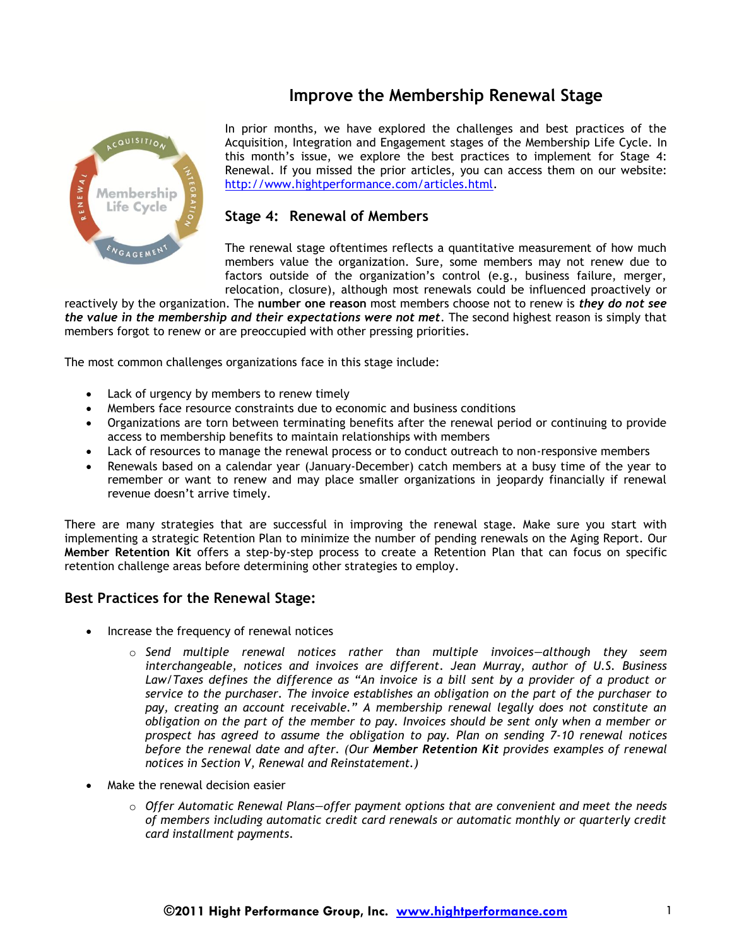## **Improve the Membership Renewal Stage**



In prior months, we have explored the challenges and best practices of the Acquisition, Integration and Engagement stages of the Membership Life Cycle. In this month's issue, we explore the best practices to implement for Stage 4: Renewal. If you missed the prior articles, you can access them on our website: [http://www.hightperformance.com/articles.html.](http://www.hightperformance.com/articles.html)

## **Stage 4: Renewal of Members**

The renewal stage oftentimes reflects a quantitative measurement of how much members value the organization. Sure, some members may not renew due to factors outside of the organization's control (e.g., business failure, merger, relocation, closure), although most renewals could be influenced proactively or

reactively by the organization. The **number one reason** most members choose not to renew is *they do not see the value in the membership and their expectations were not met*. The second highest reason is simply that members forgot to renew or are preoccupied with other pressing priorities.

The most common challenges organizations face in this stage include:

- Lack of urgency by members to renew timely
- Members face resource constraints due to economic and business conditions
- Organizations are torn between terminating benefits after the renewal period or continuing to provide access to membership benefits to maintain relationships with members
- Lack of resources to manage the renewal process or to conduct outreach to non-responsive members
- Renewals based on a calendar year (January-December) catch members at a busy time of the year to remember or want to renew and may place smaller organizations in jeopardy financially if renewal revenue doesn't arrive timely.

There are many strategies that are successful in improving the renewal stage. Make sure you start with implementing a strategic Retention Plan to minimize the number of pending renewals on the Aging Report. Our **Member Retention Kit** offers a step-by-step process to create a Retention Plan that can focus on specific retention challenge areas before determining other strategies to employ.

## **Best Practices for the Renewal Stage:**

- Increase the frequency of renewal notices
	- o *Send multiple renewal notices rather than multiple invoices—although they seem interchangeable, notices and invoices are different. Jean Murray, author of U.S. Business Law/Taxes defines the difference as "An invoice is a bill sent by a provider of a product or service to the purchaser. The invoice establishes an obligation on the part of the purchaser to pay, creating an account receivable." A membership renewal legally does not constitute an obligation on the part of the member to pay. Invoices should be sent only when a member or prospect has agreed to assume the obligation to pay. Plan on sending 7-10 renewal notices before the renewal date and after. (Our Member Retention Kit provides examples of renewal notices in Section V, Renewal and Reinstatement.)*
- Make the renewal decision easier
	- o *Offer Automatic Renewal Plans—offer payment options that are convenient and meet the needs of members including automatic credit card renewals or automatic monthly or quarterly credit card installment payments.*